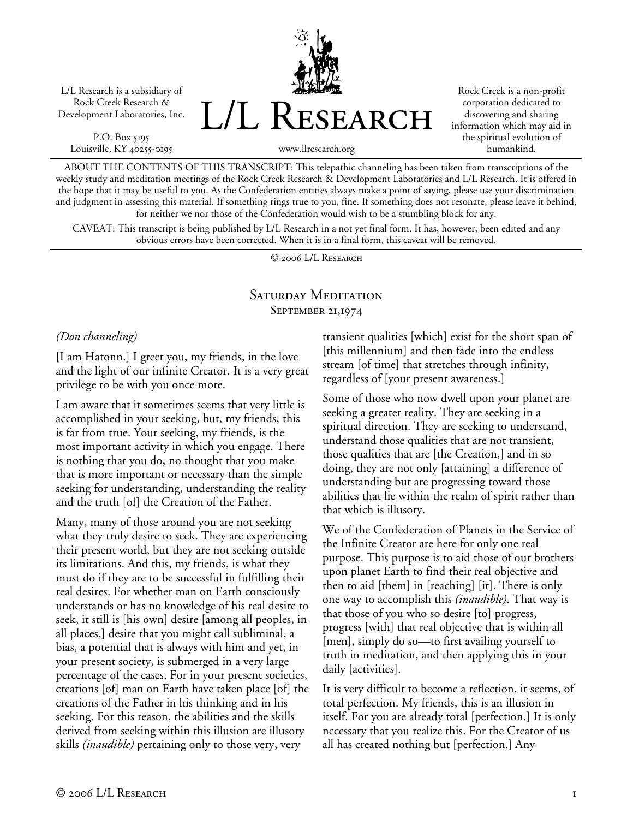L/L Research is a subsidiary of Rock Creek Research & Development Laboratories, Inc.

P.O. Box 5195 Louisville, KY 40255-0195 L/L Research

Rock Creek is a non-profit corporation dedicated to discovering and sharing information which may aid in the spiritual evolution of humankind.

www.llresearch.org

ABOUT THE CONTENTS OF THIS TRANSCRIPT: This telepathic channeling has been taken from transcriptions of the weekly study and meditation meetings of the Rock Creek Research & Development Laboratories and L/L Research. It is offered in the hope that it may be useful to you. As the Confederation entities always make a point of saying, please use your discrimination and judgment in assessing this material. If something rings true to you, fine. If something does not resonate, please leave it behind, for neither we nor those of the Confederation would wish to be a stumbling block for any.

CAVEAT: This transcript is being published by L/L Research in a not yet final form. It has, however, been edited and any obvious errors have been corrected. When it is in a final form, this caveat will be removed.

© 2006 L/L Research

## SATURDAY MEDITATION September 21,1974

## *(Don channeling)*

[I am Hatonn.] I greet you, my friends, in the love and the light of our infinite Creator. It is a very great privilege to be with you once more.

I am aware that it sometimes seems that very little is accomplished in your seeking, but, my friends, this is far from true. Your seeking, my friends, is the most important activity in which you engage. There is nothing that you do, no thought that you make that is more important or necessary than the simple seeking for understanding, understanding the reality and the truth [of] the Creation of the Father.

Many, many of those around you are not seeking what they truly desire to seek. They are experiencing their present world, but they are not seeking outside its limitations. And this, my friends, is what they must do if they are to be successful in fulfilling their real desires. For whether man on Earth consciously understands or has no knowledge of his real desire to seek, it still is [his own] desire [among all peoples, in all places,] desire that you might call subliminal, a bias, a potential that is always with him and yet, in your present society, is submerged in a very large percentage of the cases. For in your present societies, creations [of] man on Earth have taken place [of] the creations of the Father in his thinking and in his seeking. For this reason, the abilities and the skills derived from seeking within this illusion are illusory skills *(inaudible)* pertaining only to those very, very

transient qualities [which] exist for the short span of [this millennium] and then fade into the endless stream [of time] that stretches through infinity, regardless of [your present awareness.]

Some of those who now dwell upon your planet are seeking a greater reality. They are seeking in a spiritual direction. They are seeking to understand, understand those qualities that are not transient, those qualities that are [the Creation,] and in so doing, they are not only [attaining] a difference of understanding but are progressing toward those abilities that lie within the realm of spirit rather than that which is illusory.

We of the Confederation of Planets in the Service of the Infinite Creator are here for only one real purpose. This purpose is to aid those of our brothers upon planet Earth to find their real objective and then to aid [them] in [reaching] [it]. There is only one way to accomplish this *(inaudible)*. That way is that those of you who so desire [to] progress, progress [with] that real objective that is within all [men], simply do so—to first availing yourself to truth in meditation, and then applying this in your daily [activities].

It is very difficult to become a reflection, it seems, of total perfection. My friends, this is an illusion in itself. For you are already total [perfection.] It is only necessary that you realize this. For the Creator of us all has created nothing but [perfection.] Any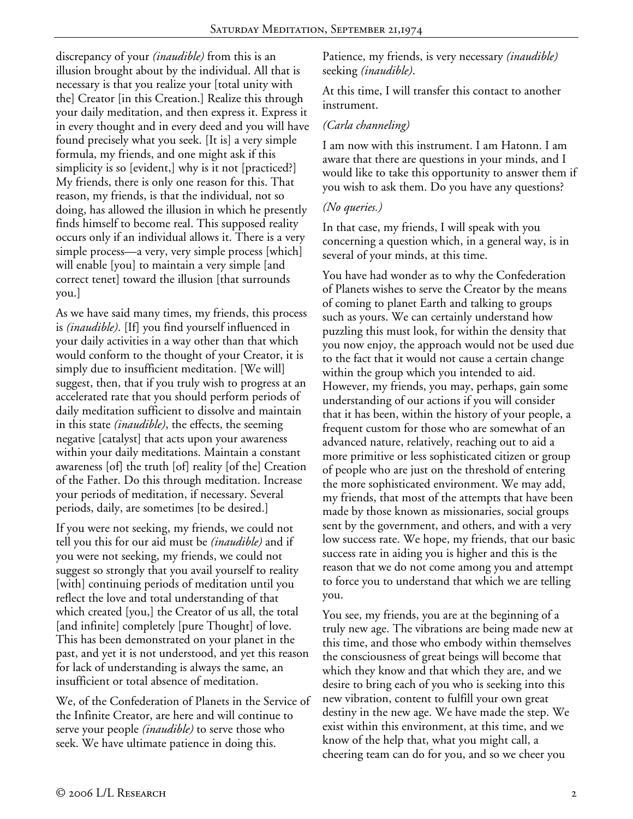discrepancy of your *(inaudible)* from this is an illusion brought about by the individual. All that is necessary is that you realize your [total unity with the] Creator [in this Creation.] Realize this through your daily meditation, and then express it. Express it in every thought and in every deed and you will have found precisely what you seek. [It is] a very simple formula, my friends, and one might ask if this simplicity is so [evident,] why is it not [practiced?] My friends, there is only one reason for this. That reason, my friends, is that the individual, not so doing, has allowed the illusion in which he presently finds himself to become real. This supposed reality occurs only if an individual allows it. There is a very simple process—a very, very simple process [which] will enable [you] to maintain a very simple [and] correct tenet] toward the illusion [that surrounds you.]

As we have said many times, my friends, this process is *(inaudible)*. [If] you find yourself influenced in your daily activities in a way other than that which would conform to the thought of your Creator, it is simply due to insufficient meditation. [We will] suggest, then, that if you truly wish to progress at an accelerated rate that you should perform periods of daily meditation sufficient to dissolve and maintain in this state *(inaudible)*, the effects, the seeming negative [catalyst] that acts upon your awareness within your daily meditations. Maintain a constant awareness [of] the truth [of] reality [of the] Creation of the Father. Do this through meditation. Increase your periods of meditation, if necessary. Several periods, daily, are sometimes [to be desired.]

If you were not seeking, my friends, we could not tell you this for our aid must be *(inaudible)* and if you were not seeking, my friends, we could not suggest so strongly that you avail yourself to reality [with] continuing periods of meditation until you reflect the love and total understanding of that which created [you,] the Creator of us all, the total [and infinite] completely [pure Thought] of love. This has been demonstrated on your planet in the past, and yet it is not understood, and yet this reason for lack of understanding is always the same, an insufficient or total absence of meditation.

We, of the Confederation of Planets in the Service of the Infinite Creator, are here and will continue to serve your people *(inaudible)* to serve those who seek. We have ultimate patience in doing this.

Patience, my friends, is very necessary *(inaudible)* seeking *(inaudible)*.

At this time, I will transfer this contact to another instrument.

## *(Carla channeling)*

I am now with this instrument. I am Hatonn. I am aware that there are questions in your minds, and I would like to take this opportunity to answer them if you wish to ask them. Do you have any questions?

## *(No queries.)*

In that case, my friends, I will speak with you concerning a question which, in a general way, is in several of your minds, at this time.

You have had wonder as to why the Confederation of Planets wishes to serve the Creator by the means of coming to planet Earth and talking to groups such as yours. We can certainly understand how puzzling this must look, for within the density that you now enjoy, the approach would not be used due to the fact that it would not cause a certain change within the group which you intended to aid. However, my friends, you may, perhaps, gain some understanding of our actions if you will consider that it has been, within the history of your people, a frequent custom for those who are somewhat of an advanced nature, relatively, reaching out to aid a more primitive or less sophisticated citizen or group of people who are just on the threshold of entering the more sophisticated environment. We may add, my friends, that most of the attempts that have been made by those known as missionaries, social groups sent by the government, and others, and with a very low success rate. We hope, my friends, that our basic success rate in aiding you is higher and this is the reason that we do not come among you and attempt to force you to understand that which we are telling you.

You see, my friends, you are at the beginning of a truly new age. The vibrations are being made new at this time, and those who embody within themselves the consciousness of great beings will become that which they know and that which they are, and we desire to bring each of you who is seeking into this new vibration, content to fulfill your own great destiny in the new age. We have made the step. We exist within this environment, at this time, and we know of the help that, what you might call, a cheering team can do for you, and so we cheer you